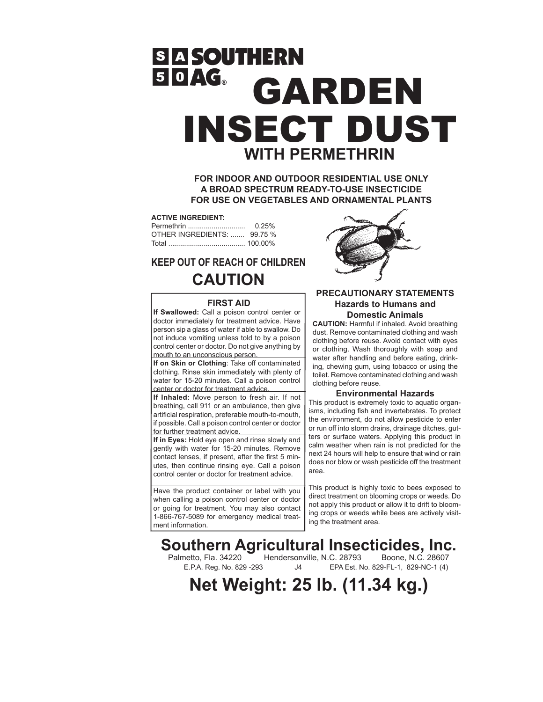# **SASOUTHERN SOAG GARDEN** INSECT DUST **WITH PERMETHRIN**

**FOR INDOOR AND OUTDOOR RESIDENTIAL USE ONLY A BROAD SPECTRUM READY-TO-USE INSECTICIDE FOR USE ON VEGETABLES AND ORNAMENTAL PLANTS**

#### **ACTIVE INGREDIENT:**

|                             | 0.25% |
|-----------------------------|-------|
| OTHER INGREDIENTS:  99.75 % |       |
|                             |       |

## **KEEP OUT OF REACH OF CHILDREN CAUTION**

#### **FIRST AID**

**If Swallowed:** Call a poison control center or doctor immediately for treatment advice. Have person sip a glass of water if able to swallow. Do not induce vomiting unless told to by a poison control center or doctor. Do not give anything by mouth to an unconscious person.

**If on Skin or Clothing**: Take off contaminated clothing. Rinse skin immediately with plenty of water for 15-20 minutes. Call a poison control center or doctor for treatment advice.

**If Inhaled:** Move person to fresh air. If not breathing, call 911 or an ambulance, then give artificial respiration, preferable mouth-to-mouth, if possible. Call a poison control center or doctor for further treatment advice.

**If in Eyes:** Hold eye open and rinse slowly and gently with water for 15-20 minutes. Remove contact lenses, if present, after the first 5 minutes, then continue rinsing eye. Call a poison control center or doctor for treatment advice.

Have the product container or label with you when calling a poison control center or doctor or going for treatment. You may also contact 1-866-767-5089 for emergency medical treatment information.



#### **PRECAUTIONARY STATEMENTS Hazards to Humans and Domestic Animals**

**CAUTION:** Harmful if inhaled. Avoid breathing dust. Remove contaminated clothing and wash clothing before reuse. Avoid contact with eyes or clothing. Wash thoroughly with soap and water after handling and before eating, drinking, chewing gum, using tobacco or using the toilet. Remove contaminated clothing and wash clothing before reuse.

#### **Environmental Hazards**

This product is extremely toxic to aquatic organisms, including fish and invertebrates. To protect the environment, do not allow pesticide to enter or run off into storm drains, drainage ditches, gutters or surface waters. Applying this product in calm weather when rain is not predicted for the next 24 hours will help to ensure that wind or rain does nor blow or wash pesticide off the treatment area.

This product is highly toxic to bees exposed to direct treatment on blooming crops or weeds. Do not apply this product or allow it to drift to blooming crops or weeds while bees are actively visiting the treatment area.

**Southern Agricultural Insecticides, Inc.**<br>Palmetto, Fla. 34220 Hendersonville, N.C. 28793 Boone, N.C. 28607

netto, Fla. 34220 Hendersonville, N.C. 28793<br>E.P.A. Reg. No. 829 -293 J4 EPA Est. No.

J4 EPA Est. No. 829-FL-1, 829-NC-1 (4)

**Net Weight: 25 lb. (11.34 kg.)**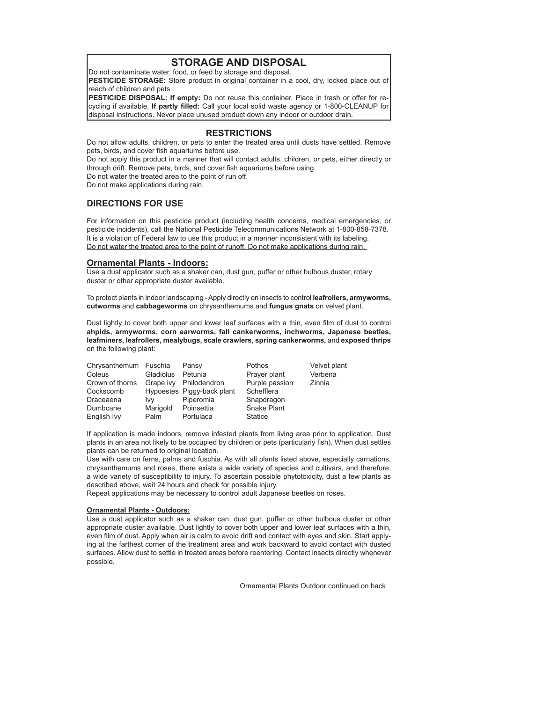### **STORAGE AND DISPOSAL**

Do not contaminate water, food, or feed by storage and disposal.

**PESTICIDE STORAGE:** Store product in original container in a cool, dry, locked place out of reach of children and pets.

**PESTICIDE DISPOSAL: If empty:** Do not reuse this container. Place in trash or offer for recycling if available. **If partly filled:** Call your local solid waste agency or 1-800-CLEANUP for disposal instructions. Never place unused product down any indoor or outdoor drain.

#### **RESTRICTIONS**

Do not allow adults, children, or pets to enter the treated area until dusts have settled. Remove pets, birds, and cover fish aquariums before use.

Do not apply this product in a manner that will contact adults, children, or pets, either directly or through drift. Remove pets, birds, and cover fish aquariums before using.

Do not water the treated area to the point of run off.

Do not make applications during rain.

#### **DIRECTIONS FOR USE**

For information on this pesticide product (including health concerns, medical emergencies, or pesticide incidents), call the National Pesticide Telecommunications Network at 1-800-858-7378. It is a violation of Federal law to use this product in a manner inconsistent with its labeling. Do not water the treated area to the point of runoff. Do not make applications during rain.

#### **Ornamental Plants - Indoors:**

Use a dust applicator such as a shaker can, dust gun, puffer or other bulbous duster, rotary duster or other appropriate duster available.

To protect plants in indoor landscaping - Apply directly on insects to control **leafrollers, armyworms, cutworms** and **cabbageworms** on chrysanthemums and **fungus gnats** on velvet plant.

Dust lightly to cover both upper and lower leaf surfaces with a thin, even film of dust to control **ahpids, armyworms, corn earworms, fall cankerworms, inchworms, Japanese beetles, leafminers, leafrollers, mealybugs, scale crawlers, spring cankerworms,** and **exposed thrips** on the following plant:

| Chrysanthemum Fuschia |            | Pansy                      | <b>Pothos</b>  | Velvet plant |
|-----------------------|------------|----------------------------|----------------|--------------|
| Coleus                | Gladiolus  | Petunia                    | Prayer plant   | Verbena      |
| Crown of thorns       |            | Grape ivy Philodendron     | Purple passion | Zinnia       |
| Cockscomb             |            | Hypoestes Piggy-back plant | Schefflera     |              |
| Draceaena             | <b>IVV</b> | Piperomia                  | Snapdragon     |              |
| Dumbcane              | Marigold   | Poinsettia                 | Snake Plant    |              |
| English Ivy           | Palm       | Portulaca                  | <b>Statice</b> |              |

If application is made indoors, remove infested plants from living area prior to application. Dust plants in an area not likely to be occupied by children or pets (particularly fish). When dust settles plants can be returned to original location.

Use with care on ferns, palms and fuschia. As with all plants listed above, especially carnations, chrysanthemums and roses, there exists a wide variety of species and cultivars, and therefore, a wide variety of susceptibility to injury. To ascertain possible phytotoxicity, dust a few plants as described above, wait 24 hours and check for possible injury.

Repeat applications may be necessary to control adult Japanese beetles on roses.

#### **Ornamental Plants - Outdoors:**

Use a dust applicator such as a shaker can, dust gun, puffer or other bulbous duster or other appropriate duster available. Dust lightly to cover both upper and lower leaf surfaces with a thin, even film of dust. Apply when air is calm to avoid drift and contact with eyes and skin. Start applying at the farthest corner of the treatment area and work backward to avoid contact with dusted surfaces. Allow dust to settle in treated areas before reentering. Contact insects directly whenever possible.

Ornamental Plants Outdoor continued on back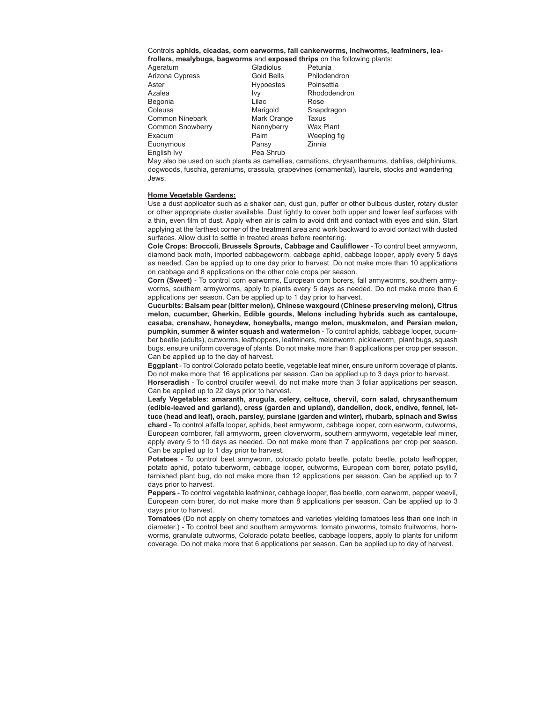#### Controls **aphids, cicadas, corn earworms, fall cankerworms, inchworms, leafminers, leafrollers, mealybugs, bagworms** and **exposed thrips** on the following plants:

| Ageratum         | Gladiolus        | Petunia          |
|------------------|------------------|------------------|
| Arizona Cypress  | Gold Bells       | Philodendron     |
| Aster            | <b>Hypoestes</b> | Poinsettia       |
| Azalea           | Ivv              | Rhododendron     |
| Begonia          | Lilac            | Rose             |
| Coleuss          | Marigold         | Snapdragon       |
| Common Ninebark  | Mark Orange      | Taxus            |
| Common Snowberry | Nannyberry       | <b>Wax Plant</b> |
| Exacum           | Palm             | Weeping fig      |
| Euonymous        | Pansy            | Zinnia           |
| English Ivy      | Pea Shrub        |                  |
|                  |                  |                  |

May also be used on such plants as camellias, carnations, chrysanthemums, dahlias, delphiniums, dogwoods, fuschia, geraniums, crassula, grapevines (ornamental), laurels, stocks and wandering Jews.

#### **Home Vegetable Gardens:**

Use a dust applicator such as a shaker can, dust gun, puffer or other bulbous duster, rotary duster or other appropriate duster available. Dust lightly to cover both upper and lower leaf surfaces with a thin, even film of dust. Apply when air is calm to avoid drift and contact with eyes and skin. Start applying at the farthest corner of the treatment area and work backward to avoid contact with dusted surfaces. Allow dust to settle in treated areas before reentering.

**Cole Crops: Broccoli, Brussels Sprouts, Cabbage and Cauliflower** - To control beet armyworm, diamond back moth, imported cabbageworm, cabbage aphid, cabbage looper, apply every 5 days as needed. Can be applied up to one day prior to harvest. Do not make more than 10 applications on cabbage and 8 applications on the other cole crops per season.

**Corn (Sweet)** - To control corn earworms, European corn borers, fall armyworms, southern armyworms, southern armyworms, apply to plants every 5 days as needed. Do not make more than 6 applications per season. Can be applied up to 1 day prior to harvest.

**Cucurbits: Balsam pear (bitter melon), Chinese waxgourd (Chinese preserving melon), Citrus melon, cucumber, Gherkin, Edible gourds, Melons including hybrids such as cantaloupe, casaba, crenshaw, honeydew, honeyballs, mango melon, muskmelon, and Persian melon, pumpkin, summer & winter squash and watermelon** - To control aphids, cabbage looper, cucumber beetle (adults), cutworms, leafhoppers, leafminers, melonworm, pickleworm, plant bugs, squash bugs, ensure uniform coverage of plants. Do not make more than 8 applications per crop per season. Can be applied up to the day of harvest.

**Eggplant** - To control Colorado potato beetle, vegetable leaf miner, ensure uniform coverage of plants. Do not make more that 16 applications per season. Can be applied up to 3 days prior to harvest.

**Horseradish** - To control crucifer weevil, do not make more than 3 foliar applications per season. Can be applied up to 22 days prior to harvest.

**Leafy Vegetables: amaranth, arugula, celery, celtuce, chervil, corn salad, chrysanthemum (edible-leaved and garland), cress (garden and upland), dandelion, dock, endive, fennel, lettuce (head and leaf), orach, parsley, purslane (garden and winter), rhubarb, spinach and Swiss chard** - To control alfalfa looper, aphids, beet armyworm, cabbage looper, corn earworm, cutworms, European cornborer, fall armyworm, green cloverworm, southern armyworm, vegetable leaf miner, apply every 5 to 10 days as needed. Do not make more than 7 applications per crop per season. Can be applied up to 1 day prior to harvest.

**Potatoes** - To control beet armyworm, colorado potato beetle, potato beetle, potato leafhopper, potato aphid, potato tuberworm, cabbage looper, cutworms, European corn borer, potato psyllid, tarnished plant bug, do not make more than 12 applications per season. Can be applied up to 7 days prior to harvest.

**Peppers** - To control vegetable leafminer, cabbage looper, flea beetle, corn earworm, pepper weevil, European corn borer, do not make more than 8 applications per season. Can be applied up to 3 days prior to harvest.

**Tomatoes** (Do not apply on cherry tomatoes and varieties yielding tomatoes less than one inch in diameter.) - To control beet and southern armyworms, tomato pinworms, tomato fruitworms, hornworms, granulate cutworms, Colorado potato beetles, cabbage loopers, apply to plants for uniform coverage. Do not make more that 6 applications per season. Can be applied up to day of harvest.